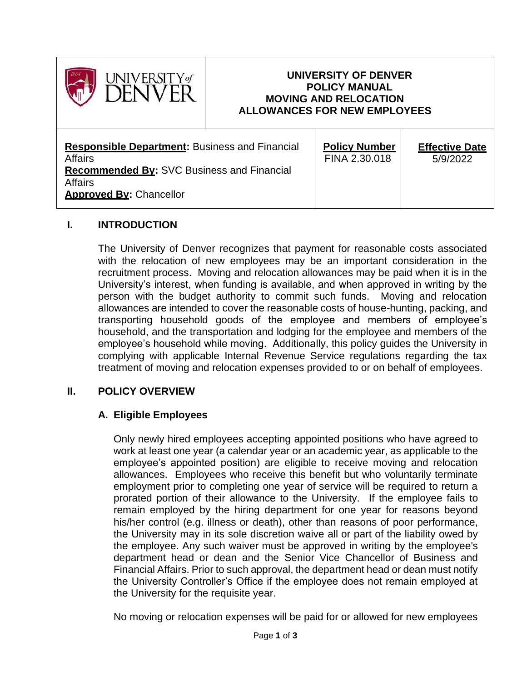

### **UNIVERSITY OF DENVER POLICY MANUAL MOVING AND RELOCATION ALLOWANCES FOR NEW EMPLOYEES**

| <b>Responsible Department:</b> Business and Financial<br><b>Affairs</b><br><b>Recommended By: SVC Business and Financial</b><br><b>Affairs</b><br><b>Approved By: Chancellor</b> | <b>Policy Number</b><br>FINA 2.30.018 | <b>Effective Date</b><br>5/9/2022 |
|----------------------------------------------------------------------------------------------------------------------------------------------------------------------------------|---------------------------------------|-----------------------------------|
|----------------------------------------------------------------------------------------------------------------------------------------------------------------------------------|---------------------------------------|-----------------------------------|

### **I. INTRODUCTION**

The University of Denver recognizes that payment for reasonable costs associated with the relocation of new employees may be an important consideration in the recruitment process. Moving and relocation allowances may be paid when it is in the University's interest, when funding is available, and when approved in writing by the person with the budget authority to commit such funds. Moving and relocation allowances are intended to cover the reasonable costs of house-hunting, packing, and transporting household goods of the employee and members of employee's household, and the transportation and lodging for the employee and members of the employee's household while moving. Additionally, this policy guides the University in complying with applicable Internal Revenue Service regulations regarding the tax treatment of moving and relocation expenses provided to or on behalf of employees.

### **II. POLICY OVERVIEW**

### **A. Eligible Employees**

Only newly hired employees accepting appointed positions who have agreed to work at least one year (a calendar year or an academic year, as applicable to the employee's appointed position) are eligible to receive moving and relocation allowances. Employees who receive this benefit but who voluntarily terminate employment prior to completing one year of service will be required to return a prorated portion of their allowance to the University. If the employee fails to remain employed by the hiring department for one year for reasons beyond his/her control (e.g. illness or death), other than reasons of poor performance, the University may in its sole discretion waive all or part of the liability owed by the employee. Any such waiver must be approved in writing by the employee's department head or dean and the Senior Vice Chancellor of Business and Financial Affairs. Prior to such approval, the department head or dean must notify the University Controller's Office if the employee does not remain employed at the University for the requisite year.

No moving or relocation expenses will be paid for or allowed for new employees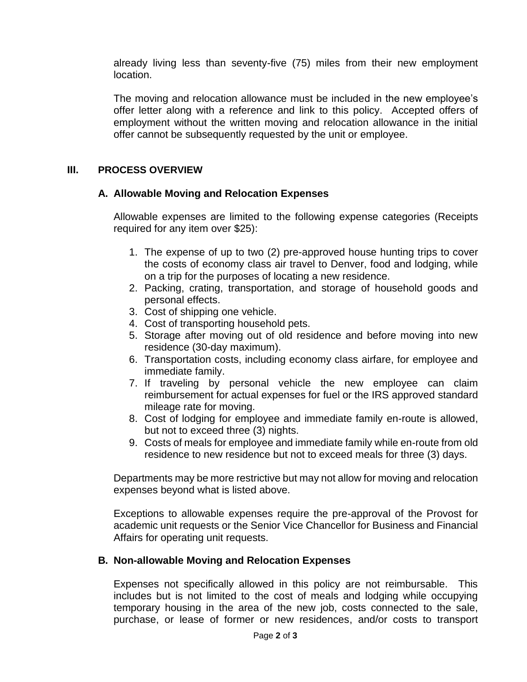already living less than seventy-five (75) miles from their new employment location.

The moving and relocation allowance must be included in the new employee's offer letter along with a reference and link to this policy. Accepted offers of employment without the written moving and relocation allowance in the initial offer cannot be subsequently requested by the unit or employee.

### **III. PROCESS OVERVIEW**

### **A. Allowable Moving and Relocation Expenses**

Allowable expenses are limited to the following expense categories (Receipts required for any item over \$25):

- 1. The expense of up to two (2) pre-approved house hunting trips to cover the costs of economy class air travel to Denver, food and lodging, while on a trip for the purposes of locating a new residence.
- 2. Packing, crating, transportation, and storage of household goods and personal effects.
- 3. Cost of shipping one vehicle.
- 4. Cost of transporting household pets.
- 5. Storage after moving out of old residence and before moving into new residence (30-day maximum).
- 6. Transportation costs, including economy class airfare, for employee and immediate family.
- 7. If traveling by personal vehicle the new employee can claim reimbursement for actual expenses for fuel or the IRS approved standard mileage rate for moving.
- 8. Cost of lodging for employee and immediate family en-route is allowed, but not to exceed three (3) nights.
- 9. Costs of meals for employee and immediate family while en-route from old residence to new residence but not to exceed meals for three (3) days.

Departments may be more restrictive but may not allow for moving and relocation expenses beyond what is listed above.

Exceptions to allowable expenses require the pre-approval of the Provost for academic unit requests or the Senior Vice Chancellor for Business and Financial Affairs for operating unit requests.

### **B. Non-allowable Moving and Relocation Expenses**

Expenses not specifically allowed in this policy are not reimbursable. This includes but is not limited to the cost of meals and lodging while occupying temporary housing in the area of the new job, costs connected to the sale, purchase, or lease of former or new residences, and/or costs to transport